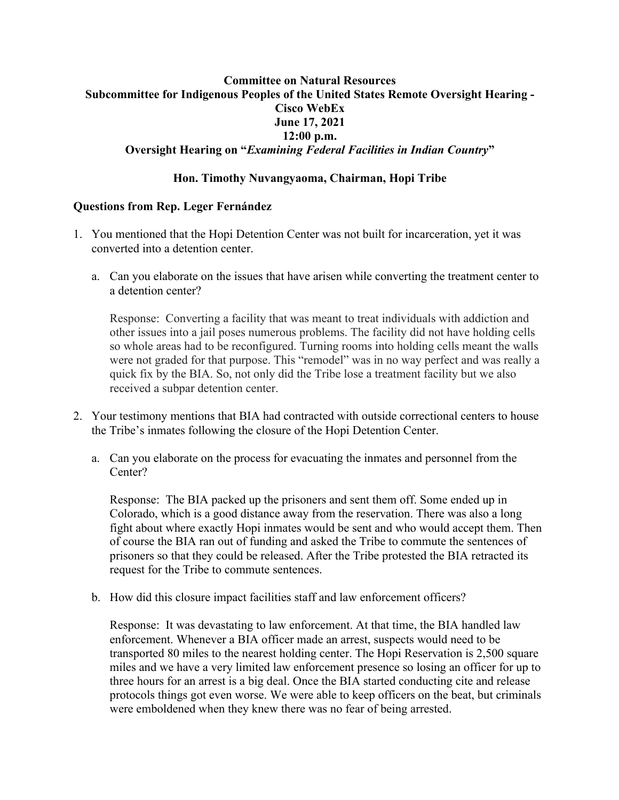## **Committee on Natural Resources Subcommittee for Indigenous Peoples of the United States Remote Oversight Hearing - Cisco WebEx June 17, 2021 12:00 p.m. Oversight Hearing on "***Examining Federal Facilities in Indian Country***"**

## **Hon. Timothy Nuvangyaoma, Chairman, Hopi Tribe**

## **Questions from Rep. Leger Fernández**

- 1. You mentioned that the Hopi Detention Center was not built for incarceration, yet it was converted into a detention center.
	- a. Can you elaborate on the issues that have arisen while converting the treatment center to a detention center?

Response: Converting a facility that was meant to treat individuals with addiction and other issues into a jail poses numerous problems. The facility did not have holding cells so whole areas had to be reconfigured. Turning rooms into holding cells meant the walls were not graded for that purpose. This "remodel" was in no way perfect and was really a quick fix by the BIA. So, not only did the Tribe lose a treatment facility but we also received a subpar detention center.

- 2. Your testimony mentions that BIA had contracted with outside correctional centers to house the Tribe's inmates following the closure of the Hopi Detention Center.
	- a. Can you elaborate on the process for evacuating the inmates and personnel from the Center?

Response: The BIA packed up the prisoners and sent them off. Some ended up in Colorado, which is a good distance away from the reservation. There was also a long fight about where exactly Hopi inmates would be sent and who would accept them. Then of course the BIA ran out of funding and asked the Tribe to commute the sentences of prisoners so that they could be released. After the Tribe protested the BIA retracted its request for the Tribe to commute sentences.

b. How did this closure impact facilities staff and law enforcement officers?

Response: It was devastating to law enforcement. At that time, the BIA handled law enforcement. Whenever a BIA officer made an arrest, suspects would need to be transported 80 miles to the nearest holding center. The Hopi Reservation is 2,500 square miles and we have a very limited law enforcement presence so losing an officer for up to three hours for an arrest is a big deal. Once the BIA started conducting cite and release protocols things got even worse. We were able to keep officers on the beat, but criminals were emboldened when they knew there was no fear of being arrested.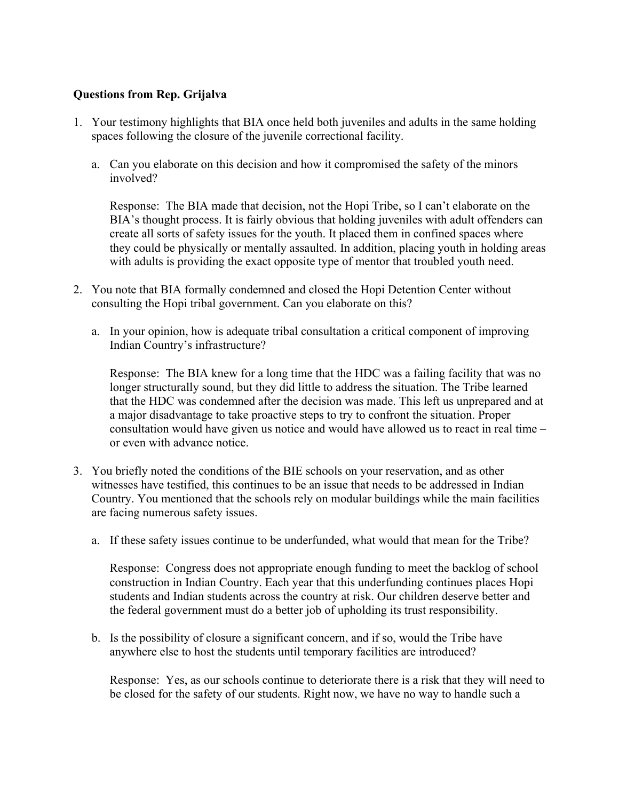## **Questions from Rep. Grijalva**

- 1. Your testimony highlights that BIA once held both juveniles and adults in the same holding spaces following the closure of the juvenile correctional facility.
	- a. Can you elaborate on this decision and how it compromised the safety of the minors involved?

Response: The BIA made that decision, not the Hopi Tribe, so I can't elaborate on the BIA's thought process. It is fairly obvious that holding juveniles with adult offenders can create all sorts of safety issues for the youth. It placed them in confined spaces where they could be physically or mentally assaulted. In addition, placing youth in holding areas with adults is providing the exact opposite type of mentor that troubled youth need.

- 2. You note that BIA formally condemned and closed the Hopi Detention Center without consulting the Hopi tribal government. Can you elaborate on this?
	- a. In your opinion, how is adequate tribal consultation a critical component of improving Indian Country's infrastructure?

Response: The BIA knew for a long time that the HDC was a failing facility that was no longer structurally sound, but they did little to address the situation. The Tribe learned that the HDC was condemned after the decision was made. This left us unprepared and at a major disadvantage to take proactive steps to try to confront the situation. Proper consultation would have given us notice and would have allowed us to react in real time – or even with advance notice.

- 3. You briefly noted the conditions of the BIE schools on your reservation, and as other witnesses have testified, this continues to be an issue that needs to be addressed in Indian Country. You mentioned that the schools rely on modular buildings while the main facilities are facing numerous safety issues.
	- a. If these safety issues continue to be underfunded, what would that mean for the Tribe?

Response: Congress does not appropriate enough funding to meet the backlog of school construction in Indian Country. Each year that this underfunding continues places Hopi students and Indian students across the country at risk. Our children deserve better and the federal government must do a better job of upholding its trust responsibility.

b. Is the possibility of closure a significant concern, and if so, would the Tribe have anywhere else to host the students until temporary facilities are introduced?

Response: Yes, as our schools continue to deteriorate there is a risk that they will need to be closed for the safety of our students. Right now, we have no way to handle such a